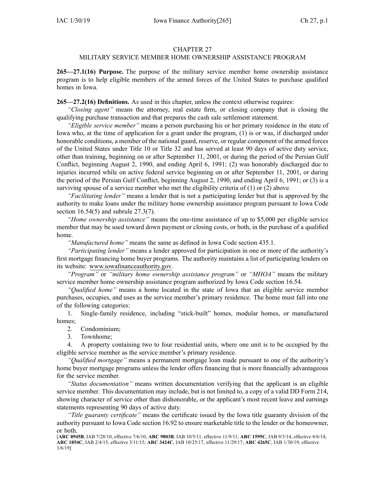## CHAPTER 27

## MILITARY SERVICE MEMBER HOME OWNERSHIP ASSISTANCE PROGRAM

**265—27.1(16) Purpose.** The purpose of the military service member home ownership assistance program is to help eligible members of the armed forces of the United States to purchase qualified homes in Iowa.

**265—27.2(16) Definitions.** As used in this chapter, unless the context otherwise requires:

*"Closing agent"* means the attorney, real estate firm, or closing company that is closing the qualifying purchase transaction and that prepares the cash sale settlement statement.

*"Eligible service member"* means <sup>a</sup> person purchasing his or her primary residence in the state of Iowa who, at the time of application for <sup>a</sup> gran<sup>t</sup> under the program, (1) is or was, if discharged under honorable conditions, <sup>a</sup> member of the national guard, reserve, or regular componen<sup>t</sup> of the armed forces of the United States under Title 10 or Title 32 and has served at least 90 days of active duty service, other than training, beginning on or after September 11, 2001, or during the period of the Persian Gulf Conflict, beginning August 2, 1990, and ending April 6, 1991; (2) was honorably discharged due to injuries incurred while on active federal service beginning on or after September 11, 2001, or during the period of the Persian Gulf Conflict, beginning August 2, 1990, and ending April 6, 1991; or (3) is <sup>a</sup> surviving spouse of <sup>a</sup> service member who met the eligibility criteria of (1) or (2) above.

*"Facilitating lender"* means <sup>a</sup> lender that is not <sup>a</sup> participating lender but that is approved by the authority to make loans under the military home ownership assistance program pursuan<sup>t</sup> to Iowa Code section [16.54\(5\)](https://www.legis.iowa.gov/docs/ico/section/2017/16.54.pdf) and subrule [27.3\(7\)](https://www.legis.iowa.gov/docs/iac/rule/265.27.3.pdf).

*"Home ownership assistance"* means the one-time assistance of up to \$5,000 per eligible service member that may be used toward down paymen<sup>t</sup> or closing costs, or both, in the purchase of <sup>a</sup> qualified home.

*"Manufactured home"* means the same as defined in Iowa Code section [435.1](https://www.legis.iowa.gov/docs/ico/section/2018/435.1.pdf).

*"Participating lender"* means <sup>a</sup> lender approved for participation in one or more of the authority's first mortgage financing home buyer programs. The authority maintains <sup>a</sup> list of participating lenders on its website: www.iowafinanceauthority.gov.

*"Program"* or *"military home ownership assistance program"* or *"MHOA"* means the military service member home ownership assistance program authorized by Iowa Code section [16.54](https://www.legis.iowa.gov/docs/ico/section/16.54.pdf).

*"Qualified home"* means <sup>a</sup> home located in the state of Iowa that an eligible service member purchases, occupies, and uses as the service member's primary residence. The home must fall into one of the following categories:

1. Single-family residence, including "stick-built" homes, modular homes, or manufactured homes;

2. Condominium;

3. Townhome;

4. A property containing two to four residential units, where one unit is to be occupied by the eligible service member as the service member's primary residence.

*"Qualified mortgage"* means <sup>a</sup> permanen<sup>t</sup> mortgage loan made pursuan<sup>t</sup> to one of the authority's home buyer mortgage programs unless the lender offers financing that is more financially advantageous for the service member.

*"Status documentation"* means written documentation verifying that the applicant is an eligible service member. This documentation may include, but is not limited to, <sup>a</sup> copy of <sup>a</sup> valid DD Form 214, showing character of service other than dishonorable, or the applicant's most recent leave and earnings statements representing 90 days of active duty.

*"Title guaranty certificate"* means the certificate issued by the Iowa title guaranty division of the authority pursuan<sup>t</sup> to Iowa Code section [16.92](https://www.legis.iowa.gov/docs/ico/section/16.92.pdf) to ensure marketable title to the lender or the homeowner, or both.

[**ARC [8945B](https://www.legis.iowa.gov/docs/aco/arc/8945B.pdf)**, IAB 7/28/10, effective 7/6/10; **ARC [9803B](https://www.legis.iowa.gov/docs/aco/arc/9803B.pdf)**, IAB 10/5/11, effective 11/9/11; **ARC [1595C](https://www.legis.iowa.gov/docs/aco/arc/1595C.pdf)**, IAB 9/3/14, effective 8/6/14; **ARC [1854C](https://www.legis.iowa.gov/docs/aco/arc/1854C.pdf)**, IAB 2/4/15, effective 3/11/15; **ARC [3424C](https://www.legis.iowa.gov/docs/aco/arc/3424C.pdf)**, IAB 10/25/17, effective 11/29/17; **ARC [4265C](https://www.legis.iowa.gov/docs/aco/arc/4265C.pdf)**, IAB 1/30/19, effective 3/6/19]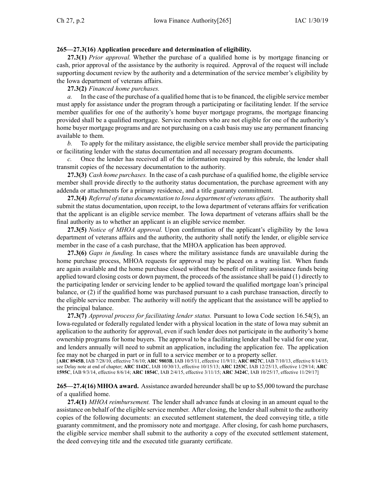## **265—27.3(16) Application procedure and determination of eligibility.**

**27.3(1)** *Prior approval.* Whether the purchase of <sup>a</sup> qualified home is by mortgage financing or cash, prior approval of the assistance by the authority is required. Approval of the reques<sup>t</sup> will include supporting document review by the authority and <sup>a</sup> determination of the service member's eligibility by the Iowa department of veterans affairs.

**27.3(2)** *Financed home purchases.*

*a.* In the case of the purchase of <sup>a</sup> qualified home that isto be financed, the eligible service member must apply for assistance under the program through <sup>a</sup> participating or facilitating lender. If the service member qualifies for one of the authority's home buyer mortgage programs, the mortgage financing provided shall be <sup>a</sup> qualified mortgage. Service members who are not eligible for one of the authority's home buyer mortgage programs and are not purchasing on <sup>a</sup> cash basis may use any permanen<sup>t</sup> financing available to them.

*b.* To apply for the military assistance, the eligible service member shall provide the participating or facilitating lender with the status documentation and all necessary program documents.

*c.* Once the lender has received all of the information required by this subrule, the lender shall transmit copies of the necessary documentation to the authority.

**27.3(3)** *Cash home purchases.* In the case of <sup>a</sup> cash purchase of <sup>a</sup> qualified home, the eligible service member shall provide directly to the authority status documentation, the purchase agreemen<sup>t</sup> with any addenda or attachments for <sup>a</sup> primary residence, and <sup>a</sup> title guaranty commitment.

**27.3(4)** *Referral ofstatus documentation to Iowa department of veterans affairs.* The authority shall submit the status documentation, upon receipt, to the Iowa department of veterans affairs for verification that the applicant is an eligible service member. The Iowa department of veterans affairs shall be the final authority as to whether an applicant is an eligible service member.

**27.3(5)** *Notice of MHOA approval.* Upon confirmation of the applicant's eligibility by the Iowa department of veterans affairs and the authority, the authority shall notify the lender, or eligible service member in the case of <sup>a</sup> cash purchase, that the MHOA application has been approved.

**27.3(6)** *Gaps in funding.* In cases where the military assistance funds are unavailable during the home purchase process, MHOA requests for approval may be placed on <sup>a</sup> waiting list. When funds are again available and the home purchase closed without the benefit of military assistance funds being applied toward closing costs or down payment, the proceeds of the assistance shall be paid (1) directly to the participating lender or servicing lender to be applied toward the qualified mortgage loan's principal balance, or (2) if the qualified home was purchased pursuan<sup>t</sup> to <sup>a</sup> cash purchase transaction, directly to the eligible service member. The authority will notify the applicant that the assistance will be applied to the principal balance.

**27.3(7)** *Approval process for facilitating lender status.* Pursuant to Iowa Code section [16.54\(5\)](https://www.legis.iowa.gov/docs/ico/section/16.54.pdf), an Iowa-regulated or federally regulated lender with <sup>a</sup> physical location in the state of Iowa may submit an application to the authority for approval, even if such lender does not participate in the authority's home ownership programs for home buyers. The approval to be <sup>a</sup> facilitating lender shall be valid for one year, and lenders annually will need to submit an application, including the application fee. The application fee may not be charged in par<sup>t</sup> or in full to <sup>a</sup> service member or to <sup>a</sup> property seller.

[**ARC [8945B](https://www.legis.iowa.gov/docs/aco/arc/8945B.pdf)**, IAB 7/28/10, effective 7/6/10; **ARC [9803B](https://www.legis.iowa.gov/docs/aco/arc/9803B.pdf)**, IAB 10/5/11, effective 11/9/11; **ARC [0827C](https://www.legis.iowa.gov/docs/aco/arc/0827C.pdf)**, IAB 7/10/13, effective 8/14/13; see Delay note at end of chapter; **ARC [1142C](https://www.legis.iowa.gov/docs/aco/arc/1142C.pdf)**, IAB 10/30/13, effective 10/15/13; **ARC [1253C](https://www.legis.iowa.gov/docs/aco/arc/1253C.pdf)**, IAB 12/25/13, effective 1/29/14; **[ARC](https://www.legis.iowa.gov/docs/aco/arc/1595C.pdf) [1595C](https://www.legis.iowa.gov/docs/aco/arc/1595C.pdf)**, IAB 9/3/14, effective 8/6/14; **ARC [1854C](https://www.legis.iowa.gov/docs/aco/arc/1854C.pdf)**, IAB 2/4/15, effective 3/11/15; **ARC [3424C](https://www.legis.iowa.gov/docs/aco/arc/3424C.pdf)**, IAB 10/25/17, effective 11/29/17]

**265—27.4(16) MHOA award.** Assistance awarded hereundershall be up to \$5,000 toward the purchase of <sup>a</sup> qualified home.

**27.4(1)** *MHOA reimbursement.* The lender shall advance funds at closing in an amount equal to the assistance on behalf of the eligible service member. After closing, the lender shall submit to the authority copies of the following documents: an executed settlement statement, the deed conveying title, <sup>a</sup> title guaranty commitment, and the promissory note and mortgage. After closing, for cash home purchasers, the eligible service member shall submit to the authority <sup>a</sup> copy of the executed settlement statement, the deed conveying title and the executed title guaranty certificate.